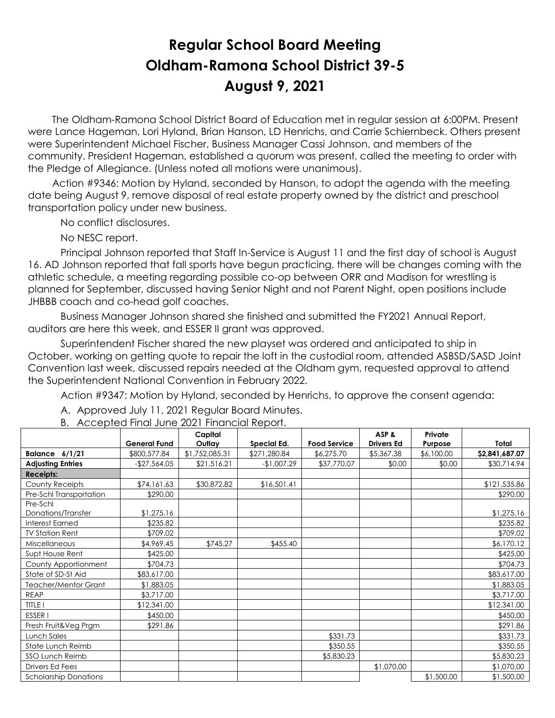# **Regular School Board Meeting Oldham-Ramona School District 39-5 August 9, 2021**

 The Oldham-Ramona School District Board of Education met in regular session at 6:00PM. Present were Lance Hageman, Lori Hyland, Brian Hanson, LD Henrichs, and Carrie Schiernbeck. Others present were Superintendent Michael Fischer, Business Manager Cassi Johnson, and members of the community. President Hageman, established a quorum was present, called the meeting to order with the Pledge of Allegiance. (Unless noted all motions were unanimous).

 Action #9346: Motion by Hyland, seconded by Hanson, to adopt the agenda with the meeting date being August 9, remove disposal of real estate property owned by the district and preschool transportation policy under new business.

No conflict disclosures.

No NESC report.

Principal Johnson reported that Staff In-Service is August 11 and the first day of school is August 16. AD Johnson reported that fall sports have begun practicing, there will be changes coming with the athletic schedule, a meeting regarding possible co-op between ORR and Madison for wrestling is planned for September, discussed having Senior Night and not Parent Night, open positions include JHBBB coach and co-head golf coaches.

Business Manager Johnson shared she finished and submitted the FY2021 Annual Report, auditors are here this week, and ESSER II grant was approved.

Superintendent Fischer shared the new playset was ordered and anticipated to ship in October, working on getting quote to repair the loft in the custodial room, attended ASBSD/SASD Joint Convention last week, discussed repairs needed at the Oldham gym, requested approval to attend the Superintendent National Convention in February 2022.

Action #9347: Motion by Hyland, seconded by Henrichs, to approve the consent agenda:

 $\top$ 

|                              |                     | Capital        |              |                     | ASP &             | Private    |                |
|------------------------------|---------------------|----------------|--------------|---------------------|-------------------|------------|----------------|
|                              | <b>General Fund</b> | Outlay         | Special Ed.  | <b>Food Service</b> | <b>Drivers Ed</b> | Purpose    | Total          |
| Balance $6/1/21$             | \$800,577.84        | \$1,752,085.31 | \$271,280.84 | \$6,275.70          | \$5,367.38        | \$6,100.00 | \$2,841,687.07 |
| <b>Adjusting Entries</b>     | $-$27,564.05$       | \$21,516.21    | $-$1,007.29$ | \$37,770.07         | \$0.00            | \$0.00     | \$30,714.94    |
| <b>Receipts:</b>             |                     |                |              |                     |                   |            |                |
| <b>County Receipts</b>       | \$74,161.63         | \$30,872.82    | \$16,501.41  |                     |                   |            | \$121,535.86   |
| Pre-Schl Transportation      | \$290.00            |                |              |                     |                   |            | \$290.00       |
| Pre-Schl                     |                     |                |              |                     |                   |            |                |
| Donations/Transfer           | \$1,275.16          |                |              |                     |                   |            | \$1,275.16     |
| <b>Interest Earned</b>       | \$235.82            |                |              |                     |                   |            | \$235.82       |
| <b>TV Station Rent</b>       | \$709.02            |                |              |                     |                   |            | \$709.02       |
| Miscellaneous                | \$4,969.45          | \$745.27       | \$455.40     |                     |                   |            | \$6,170.12     |
| Supt House Rent              | \$425.00            |                |              |                     |                   |            | \$425.00       |
| County Apportionment         | \$704.73            |                |              |                     |                   |            | \$704.73       |
| State of SD-St Aid           | \$83,617.00         |                |              |                     |                   |            | \$83,617.00    |
| Teacher/Mentor Grant         | \$1,883.05          |                |              |                     |                   |            | \$1,883.05     |
| <b>REAP</b>                  | \$3,717.00          |                |              |                     |                   |            | \$3,717.00     |
| <b>TITLE I</b>               | \$12,341.00         |                |              |                     |                   |            | \$12,341.00    |
| ESSER <sub>I</sub>           | \$450.00            |                |              |                     |                   |            | \$450.00       |
| Fresh Fruit&Veg Prgm         | \$291.86            |                |              |                     |                   |            | \$291.86       |
| Lunch Sales                  |                     |                |              | \$331.73            |                   |            | \$331.73       |
| State Lunch Reimb            |                     |                |              | \$350.55            |                   |            | \$350.55       |
| <b>SSO Lunch Reimb</b>       |                     |                |              | \$5,830.23          |                   |            | \$5,830.23     |
| Drivers Ed Fees              |                     |                |              |                     | \$1,070.00        |            | \$1,070.00     |
| <b>Scholarship Donations</b> |                     |                |              |                     |                   | \$1,500.00 | \$1,500.00     |

B. Accepted Final June 2021 Financial Report.

A. Approved July 11, 2021 Regular Board Minutes.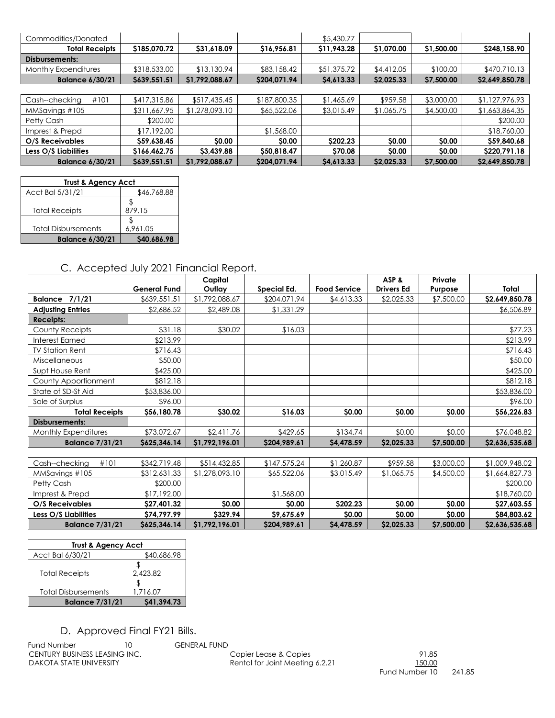| Commodities/Donated    |              |                |              | \$5,430.77  |            |            |                |
|------------------------|--------------|----------------|--------------|-------------|------------|------------|----------------|
| <b>Total Receipts</b>  | \$185,070.72 | \$31,618.09    | \$16,956.81  | \$11,943.28 | \$1,070.00 | \$1,500.00 | \$248,158.90   |
| Disbursements:         |              |                |              |             |            |            |                |
| Monthly Expenditures   | \$318,533.00 | \$13,130.94    | \$83,158.42  | \$51,375.72 | \$4,412.05 | \$100.00   | \$470,710.13   |
| <b>Balance 6/30/21</b> | \$639,551.51 | \$1,792,088.67 | \$204,071.94 | \$4,613.33  | \$2,025.33 | \$7,500.00 | \$2,649,850.78 |
|                        |              |                |              |             |            |            |                |
| #101<br>Cash--checking | \$417,315.86 | \$517,435.45   | \$187,800.35 | \$1,465.69  | \$959.58   | \$3,000.00 | \$1,127,976.93 |
| MMSavings #105         | \$311,667.95 | \$1,278,093.10 | \$65,522.06  | \$3,015.49  | \$1,065.75 | \$4,500.00 | \$1,663,864.35 |
| Petty Cash             | \$200.00     |                |              |             |            |            | \$200.00       |
| Imprest & Prepd        | \$17,192.00  |                | \$1,568.00   |             |            |            | \$18,760.00    |
| O/S Receivables        | \$59,638.45  | \$0.00         | \$0.00       | \$202.23    | \$0.00     | \$0.00     | \$59,840.68    |
| Less O/S Liabilities   | \$166,462.75 | \$3,439.88     | \$50,818.47  | \$70.08     | \$0.00     | \$0.00     | \$220,791.18   |
| <b>Balance 6/30/21</b> | \$639,551.51 | \$1,792,088.67 | \$204,071.94 | \$4,613.33  | \$2,025.33 | \$7,500.00 | \$2,649,850.78 |

| <b>Trust &amp; Agency Acct</b> |             |  |  |  |  |
|--------------------------------|-------------|--|--|--|--|
| Acct Bal 5/31/21               | \$46,768.88 |  |  |  |  |
|                                |             |  |  |  |  |
| <b>Total Receipts</b>          | 879.15      |  |  |  |  |
|                                |             |  |  |  |  |
| <b>Total Disbursements</b>     | 6.961.05    |  |  |  |  |
| <b>Balance 6/30/21</b>         | \$40.686.98 |  |  |  |  |

## C. Accepted July 2021 Financial Report.

|                             | <b>General Fund</b> | Capital<br>Outlay | Special Ed.  | <b>Food Service</b> | ASP&<br><b>Drivers Ed</b> | Private<br>Purpose | Total          |
|-----------------------------|---------------------|-------------------|--------------|---------------------|---------------------------|--------------------|----------------|
| 7/1/21<br><b>Balance</b>    | \$639,551.51        | \$1,792,088.67    | \$204,071.94 | \$4,613.33          | \$2,025.33                | \$7,500.00         | \$2,649,850.78 |
| <b>Adjusting Entries</b>    | \$2,686.52          | \$2,489.08        | \$1,331.29   |                     |                           |                    | \$6,506.89     |
| <b>Receipts:</b>            |                     |                   |              |                     |                           |                    |                |
| County Receipts             | \$31.18             | \$30.02           | \$16.03      |                     |                           |                    | \$77.23        |
| Interest Earned             | \$213.99            |                   |              |                     |                           |                    | \$213.99       |
| <b>TV Station Rent</b>      | \$716.43            |                   |              |                     |                           |                    | \$716.43       |
| <b>Miscellaneous</b>        | \$50.00             |                   |              |                     |                           |                    | \$50.00        |
| Supt House Rent             | \$425.00            |                   |              |                     |                           |                    | \$425.00       |
| County Apportionment        | \$812.18            |                   |              |                     |                           |                    | \$812.18       |
| State of SD-St Aid          | \$53,836.00         |                   |              |                     |                           |                    | \$53,836.00    |
| Sale of Surplus             | \$96.00             |                   |              |                     |                           |                    | \$96.00        |
| <b>Total Receipts</b>       | \$56,180.78         | \$30.02           | \$16.03      | \$0.00              | \$0.00                    | \$0.00             | \$56,226.83    |
| Disbursements:              |                     |                   |              |                     |                           |                    |                |
| <b>Monthly Expenditures</b> | \$73,072.67         | \$2,411.76        | \$429.65     | \$134.74            | \$0.00                    | \$0.00             | \$76,048.82    |
| <b>Balance 7/31/21</b>      | \$625,346.14        | \$1,792,196.01    | \$204,989.61 | \$4,478.59          | \$2,025.33                | \$7,500.00         | \$2,636,535.68 |

| #101<br>Cash--checking | \$342,719.48 | \$514,432.85   | \$147,575.24 | \$1,260.87   | \$959.58     | \$3,000.00   | \$1,009,948.02 |
|------------------------|--------------|----------------|--------------|--------------|--------------|--------------|----------------|
| MMSavings #105         | \$312,631.33 | \$1,278,093.10 | \$65,522.06  | \$3,015.49   | \$1,065.75   | \$4,500.00   | \$1,664,827.73 |
| Petty Cash             | \$200.00     |                |              |              |              |              | \$200.00       |
| Imprest & Prepd        | \$17,192.00  |                | \$1,568.00   |              |              |              | \$18,760.00    |
| O/S Receivables        | \$27,401.32  | <b>SO.00</b>   | \$0.00       | \$202.23     | \$0.00       | <b>SO.OO</b> | \$27,603.55    |
| Less O/S Liabilities   | S74.797.99   | \$329.94       | \$9,675.69   | <b>SO.00</b> | <b>SO.00</b> | <b>SO.OO</b> | \$84,803.62    |
| <b>Balance 7/31/21</b> | \$625,346.14 | \$1,792,196.01 | \$204,989.61 | S4.478.59    | \$2,025.33   | \$7,500.00   | \$2,636,535.68 |

| <b>Trust &amp; Agency Acct</b> |             |  |  |  |  |  |
|--------------------------------|-------------|--|--|--|--|--|
| Acct Bal 6/30/21               | \$40,686.98 |  |  |  |  |  |
| <b>Total Receipts</b>          | 2.423.82    |  |  |  |  |  |
| <b>Total Disbursements</b>     | 1.716.07    |  |  |  |  |  |
| <b>Balance 7/31/21</b>         | \$41,394.73 |  |  |  |  |  |

# D. Approved Final FY21 Bills.

Fund Number 10 GENERAL FUND<br>CENTURY BUSINESS LEASING INC. CENTURY BUSINESS LEASING INC. CENTURY BUSINESS LEASING INC.<br>
DAKOTA STATE UNIVERSITY 
DAKOTA STATE UNIVERSITY

DESCRIPTION TRANSPORTED ENGINEERATION COPIER LATERATION COPIER LATERATION COPIER LATERATION COPIER LATERATION OF DESCRIPTION OF DESCRIPTION O

Rental for Joint Meeting 6.2.21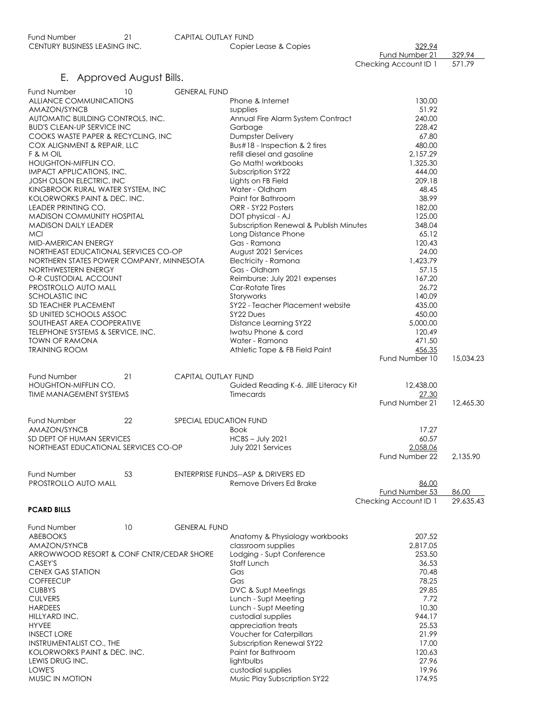| CENTURY BUSINESS LEASING INC. | Copier Lease & Copies | 329.94                |        |
|-------------------------------|-----------------------|-----------------------|--------|
|                               |                       | Fund Number 21        | 329.94 |
|                               |                       | Checking Account ID 1 | 571.79 |

## E. Approved August Bills.

| Fund Number                                                     | 10 | <b>GENERAL FUND</b>        |                                                  |                                         |           |
|-----------------------------------------------------------------|----|----------------------------|--------------------------------------------------|-----------------------------------------|-----------|
| ALLIANCE COMMUNICATIONS                                         |    |                            | Phone & Internet                                 | 130.00                                  |           |
| AMAZON/SYNCB                                                    |    |                            | supplies                                         | 51.92                                   |           |
| AUTOMATIC BUILDING CONTROLS, INC.                               |    |                            | Annual Fire Alarm System Contract                | 240.00                                  |           |
| <b>BUD'S CLEAN-UP SERVICE INC</b>                               |    |                            | Garbage                                          | 228.42                                  |           |
| COOKS WASTE PAPER & RECYCLING, INC                              |    |                            | <b>Dumpster Delivery</b>                         | 67.80                                   |           |
| COX ALIGNMENT & REPAIR, LLC                                     |    |                            | Bus#18 - Inspection & 2 tires                    | 480.00                                  |           |
| F & M OIL<br>HOUGHTON-MIFFLIN CO.                               |    |                            | refill diesel and gasoline<br>Go Math! workbooks | 2,157.29<br>1,325.30                    |           |
| IMPACT APPLICATIONS, INC.                                       |    |                            | Subscription SY22                                | 444.00                                  |           |
| <b>JOSH OLSON ELECTRIC, INC</b>                                 |    |                            | Lights on FB Field                               | 209.18                                  |           |
| KINGBROOK RURAL WATER SYSTEM, INC                               |    |                            | Water - Oldham                                   | 48.45                                   |           |
| KOLORWORKS PAINT & DEC. INC.                                    |    |                            | Paint for Bathroom                               | 38.99                                   |           |
| <b>LEADER PRINTING CO.</b>                                      |    |                            | ORR - SY22 Posters                               | 182.00                                  |           |
| <b>MADISON COMMUNITY HOSPITAL</b>                               |    |                            | DOT physical - AJ                                | 125.00                                  |           |
| <b>MADISON DAILY LEADER</b>                                     |    |                            | Subscription Renewal & Publish Minutes           | 348.04                                  |           |
| <b>MCI</b>                                                      |    |                            | Long Distance Phone                              | 65.12                                   |           |
| MID-AMERICAN ENERGY                                             |    |                            | Gas - Ramona                                     | 120.43                                  |           |
| NORTHEAST EDUCATIONAL SERVICES CO-OP                            |    |                            | August 2021 Services                             | 24.00<br>1,423.79                       |           |
| NORTHERN STATES POWER COMPANY, MINNESOTA<br>NORTHWESTERN ENERGY |    |                            | Electricity - Ramona<br>Gas - Oldham             | 57.15                                   |           |
| O-R CUSTODIAL ACCOUNT                                           |    |                            | Reimburse: July 2021 expenses                    | 167.20                                  |           |
| PROSTROLLO AUTO MALL                                            |    |                            | Car-Rotate Tires                                 | 26.72                                   |           |
| SCHOLASTIC INC                                                  |    |                            | Storyworks                                       | 140.09                                  |           |
| <b>SD TEACHER PLACEMENT</b>                                     |    |                            | SY22 - Teacher Placement website                 | 435.00                                  |           |
| SD UNITED SCHOOLS ASSOC                                         |    |                            | SY22 Dues                                        | 450.00                                  |           |
| SOUTHEAST AREA COOPERATIVE                                      |    |                            | Distance Learning SY22                           | 5,000.00                                |           |
| TELEPHONE SYSTEMS & SERVICE, INC.                               |    |                            | Iwatsu Phone & cord                              | 120.49                                  |           |
| <b>TOWN OF RAMONA</b>                                           |    |                            | Water - Ramona                                   | 471.50                                  |           |
| <b>TRAINING ROOM</b>                                            |    |                            | Athletic Tape & FB Field Paint                   | 456.35                                  |           |
|                                                                 |    |                            |                                                  | Fund Number 10                          | 15,034.23 |
| Fund Number                                                     | 21 | <b>CAPITAL OUTLAY FUND</b> |                                                  |                                         |           |
| HOUGHTON-MIFFLIN CO.                                            |    |                            | Guided Reading K-6, JillE Literacy Kit           | 12,438.00                               |           |
| <b>TIME MANAGEMENT SYSTEMS</b>                                  |    |                            | Timecards                                        | 27.30                                   |           |
|                                                                 |    |                            |                                                  | Fund Number 21                          | 12,465.30 |
|                                                                 |    |                            |                                                  |                                         |           |
| <b>Fund Number</b>                                              | 22 | SPECIAL EDUCATION FUND     |                                                  |                                         |           |
| AMAZON/SYNCB<br>SD DEPT OF HUMAN SERVICES                       |    |                            | <b>Book</b><br><b>HCBS - July 2021</b>           | 17.27<br>60.57                          |           |
| NORTHEAST EDUCATIONAL SERVICES CO-OP                            |    |                            | July 2021 Services                               | 2.058.06                                |           |
|                                                                 |    |                            |                                                  | Fund Number 22                          | 2,135.90  |
|                                                                 |    |                            |                                                  |                                         |           |
| Fund Number                                                     | 53 |                            | ENTERPRISE FUNDS--ASP & DRIVERS ED               |                                         |           |
| PROSTROLLO AUTO MALL                                            |    |                            | Remove Drivers Ed Brake                          | 86.00                                   |           |
|                                                                 |    |                            |                                                  | Fund Number 53<br>Checking Account ID 1 | 86.00     |
| <b>PCARD BILLS</b>                                              |    |                            |                                                  |                                         | 29,635.43 |
|                                                                 |    |                            |                                                  |                                         |           |
| Fund Number                                                     | 10 | <b>GENERAL FUND</b>        |                                                  |                                         |           |
| <b>ABEBOOKS</b>                                                 |    |                            | Anatomy & Physiology workbooks                   | 207.52                                  |           |
| AMAZON/SYNCB                                                    |    |                            | classroom supplies                               | 2,817.05                                |           |
| ARROWWOOD RESORT & CONF CNTR/CEDAR SHORE                        |    |                            | Lodging - Supt Conference                        | 253.50                                  |           |
| CASEY'S                                                         |    |                            | Staff Lunch                                      | 36.53                                   |           |
| <b>CENEX GAS STATION</b>                                        |    |                            | Gas                                              | 70.48<br>78.25                          |           |
| <b>COFFEECUP</b><br><b>CUBBYS</b>                               |    |                            | Gas<br>DVC & Supt Meetings                       | 29.85                                   |           |
| <b>CULVERS</b>                                                  |    |                            | Lunch - Supt Meeting                             | 7.72                                    |           |
| <b>HARDEES</b>                                                  |    |                            | Lunch - Supt Meeting                             | 10.30                                   |           |
| HILLYARD INC.                                                   |    |                            | custodial supplies                               | 944.17                                  |           |
| <b>HYVEE</b>                                                    |    |                            | appreciation treats                              | 25.53                                   |           |
| <b>INSECT LORE</b>                                              |    |                            | <b>Voucher for Caterpillars</b>                  | 21.99                                   |           |
| INSTRUMENTALIST CO., THE                                        |    |                            | Subscription Renewal SY22                        | 17.00                                   |           |
| KOLORWORKS PAINT & DEC. INC.                                    |    |                            | Paint for Bathroom                               | 120.63                                  |           |
| LEWIS DRUG INC.                                                 |    |                            | lightbulbs                                       | 27.96                                   |           |
| LOWE'S                                                          |    |                            | custodial supplies                               | 19.96                                   |           |
| MUSIC IN MOTION                                                 |    |                            | Music Play Subscription SY22                     | 174.95                                  |           |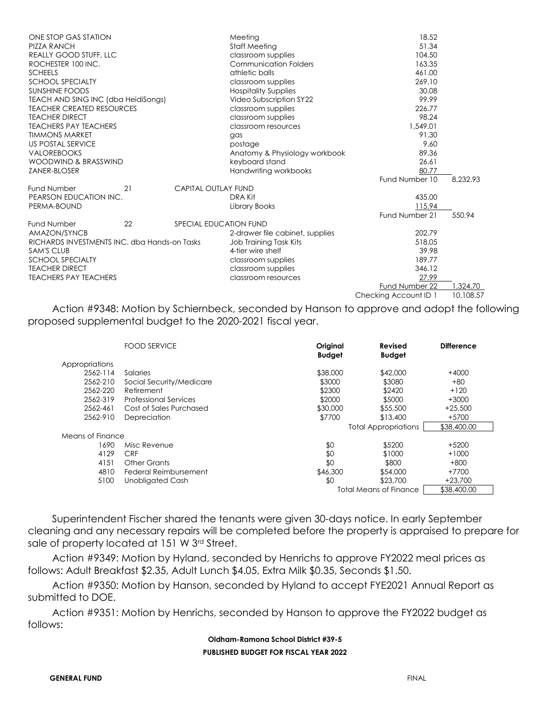| 8.232.93<br>Fund Number 10<br>21<br><b>Fund Number</b><br><b>CAPITAL OUTLAY FUND</b><br>PEARSON EDUCATION INC.<br>DRA Kit<br>435.00<br>PERMA-BOUND<br>115.94<br>Library Books<br>Fund Number 21<br>550.94<br>22<br><b>Fund Number</b><br>SPECIAL EDUCATION FUND<br>AMAZON/SYNCB<br>202.79<br>2-drawer file cabinet, supplies<br>RICHARDS INVESTMENTS INC. dba Hands-on Tasks<br>518.05<br>Job Training Task Kits<br><b>SAM'S CLUB</b><br>4-tier wire shelf<br>39.98<br><b>SCHOOL SPECIALTY</b><br>189.77<br>classroom supplies<br><b><i>TEACHER DIRECT</i></b><br>346.12<br>classroom supplies<br>27.99<br><b>TEACHERS PAY TEACHERS</b><br>classroom resources<br>1,324.70<br>Fund Number 22 | ONE STOP GAS STATION<br><b>PIZZA RANCH</b><br><b>REALLY GOOD STUFF, LLC</b><br>ROCHESTER 100 INC.<br><b>SCHEELS</b><br><b>SCHOOL SPECIALTY</b><br><b>SUNSHINE FOODS</b><br>TEACH AND SING INC (dba HeidiSongs)<br><b>TEACHER CREATED RESOURCES</b><br><b><i>TEACHER DIRECT</i></b><br><b>TEACHERS PAY TEACHERS</b><br><b>TIMMONS MARKET</b><br><b>US POSTAL SERVICE</b><br><b>VALOREBOOKS</b><br>WOODWIND & BRASSWIND<br>ZANER-BLOSER |  | Meeting<br><b>Staff Meeting</b><br>classroom supplies<br><b>Communication Folders</b><br>athletic balls<br>classroom supplies<br><b>Hospitality Supplies</b><br>Video Subscription SY22<br>classroom supplies<br>classroom supplies<br>classroom resources<br>aas<br>postage<br>Anatomy & Physiology workbook<br>keyboard stand<br>Handwriting workbooks | 18.52<br>51.34<br>104.50<br>163.35<br>461.00<br>269.10<br>30.08<br>99.99<br>226.77<br>98.24<br>1,549.01<br>91.30<br>9.60<br>89.36<br>26.61<br>80.77 |           |
|----------------------------------------------------------------------------------------------------------------------------------------------------------------------------------------------------------------------------------------------------------------------------------------------------------------------------------------------------------------------------------------------------------------------------------------------------------------------------------------------------------------------------------------------------------------------------------------------------------------------------------------------------------------------------------------------|---------------------------------------------------------------------------------------------------------------------------------------------------------------------------------------------------------------------------------------------------------------------------------------------------------------------------------------------------------------------------------------------------------------------------------------|--|----------------------------------------------------------------------------------------------------------------------------------------------------------------------------------------------------------------------------------------------------------------------------------------------------------------------------------------------------------|-----------------------------------------------------------------------------------------------------------------------------------------------------|-----------|
|                                                                                                                                                                                                                                                                                                                                                                                                                                                                                                                                                                                                                                                                                              |                                                                                                                                                                                                                                                                                                                                                                                                                                       |  |                                                                                                                                                                                                                                                                                                                                                          |                                                                                                                                                     |           |
|                                                                                                                                                                                                                                                                                                                                                                                                                                                                                                                                                                                                                                                                                              |                                                                                                                                                                                                                                                                                                                                                                                                                                       |  |                                                                                                                                                                                                                                                                                                                                                          |                                                                                                                                                     |           |
|                                                                                                                                                                                                                                                                                                                                                                                                                                                                                                                                                                                                                                                                                              |                                                                                                                                                                                                                                                                                                                                                                                                                                       |  |                                                                                                                                                                                                                                                                                                                                                          |                                                                                                                                                     |           |
|                                                                                                                                                                                                                                                                                                                                                                                                                                                                                                                                                                                                                                                                                              |                                                                                                                                                                                                                                                                                                                                                                                                                                       |  |                                                                                                                                                                                                                                                                                                                                                          |                                                                                                                                                     |           |
|                                                                                                                                                                                                                                                                                                                                                                                                                                                                                                                                                                                                                                                                                              |                                                                                                                                                                                                                                                                                                                                                                                                                                       |  |                                                                                                                                                                                                                                                                                                                                                          | Checking Account ID 1                                                                                                                               | 10.108.57 |

 Action #9348: Motion by Schiernbeck, seconded by Hanson to approve and adopt the following proposed supplemental budget to the 2020-2021 fiscal year.

|                  | <b>FOOD SERVICE</b>          | Original<br><b>Budget</b> | Revised<br><b>Budget</b>    | <b>Difference</b> |
|------------------|------------------------------|---------------------------|-----------------------------|-------------------|
| Appropriations   |                              |                           |                             |                   |
| 2562-114         | Salaries                     | \$38,000                  | \$42,000                    | $+4000$           |
| 2562-210         | Social Security/Medicare     | \$3000                    | \$3080                      | $+80$             |
| 2562-220         | Retirement                   | \$2300                    | \$2420                      | $+120$            |
| 2562-319         | <b>Professional Services</b> | \$2000                    | \$5000                      | $+3000$           |
| 2562-461         | Cost of Sales Purchased      | \$30,000                  | \$55,500                    | $+25,500$         |
| 2562-910         | Depreciation                 | \$7700                    | \$13,400                    | +5700             |
|                  |                              |                           | <b>Total Appropriations</b> | \$38,400.00       |
| Means of Finance |                              |                           |                             |                   |
| 1690             | Misc Revenue                 | \$0                       | \$5200                      | $+5200$           |
| 4129             | <b>CRF</b>                   | \$0                       | \$1000                      | $+1000$           |
| 4151             | Other Grants                 | \$0                       | \$800                       | $+800$            |
| 4810             | Federal Reimbursement        | \$46,300                  | \$54,000                    | +7700             |
| 5100             | Unobligated Cash             | \$0                       | \$23,700                    | $+23.700$         |
|                  |                              |                           | Total Means of Finance      | \$38,400.00       |

 Superintendent Fischer shared the tenants were given 30-days notice. In early September cleaning and any necessary repairs will be completed before the property is appraised to prepare for sale of property located at 151 W 3rd Street.

 Action #9349: Motion by Hyland, seconded by Henrichs to approve FY2022 meal prices as follows: Adult Breakfast \$2.35, Adult Lunch \$4.05, Extra Milk \$0.35, Seconds \$1.50.

 Action #9350: Motion by Hanson, seconded by Hyland to accept FYE2021 Annual Report as submitted to DOE.

 Action #9351: Motion by Henrichs, seconded by Hanson to approve the FY2022 budget as follows:

> **Oldham-Ramona School District #39-5 PUBLISHED BUDGET FOR FISCAL YEAR 2022**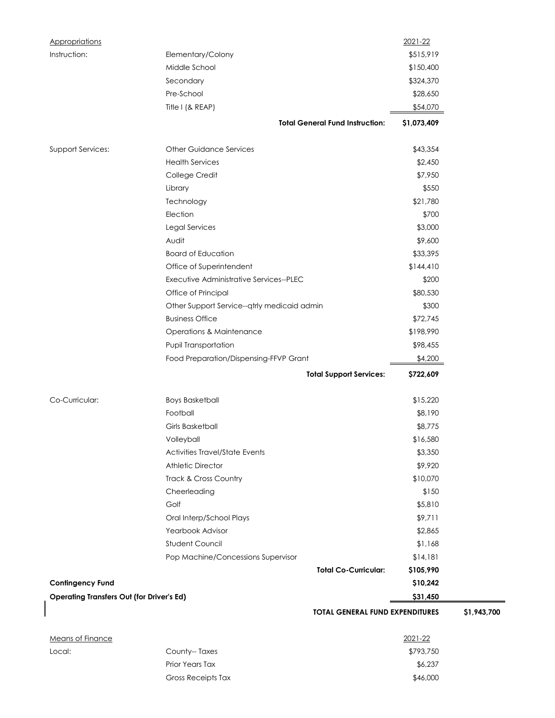| Appropriations                                   |                                             | 2021-22     |             |
|--------------------------------------------------|---------------------------------------------|-------------|-------------|
| Instruction:                                     | Elementary/Colony                           | \$515,919   |             |
|                                                  | Middle School                               | \$150,400   |             |
|                                                  | Secondary                                   | \$324,370   |             |
|                                                  | Pre-School                                  | \$28,650    |             |
|                                                  | Title I (& REAP)                            | \$54,070    |             |
|                                                  | <b>Total General Fund Instruction:</b>      | \$1,073,409 |             |
| Support Services:                                | <b>Other Guidance Services</b>              | \$43,354    |             |
|                                                  | <b>Health Services</b>                      | \$2,450     |             |
|                                                  | College Credit                              | \$7,950     |             |
|                                                  | Library                                     | \$550       |             |
|                                                  | Technology                                  | \$21,780    |             |
|                                                  | Election                                    | \$700       |             |
|                                                  | Legal Services                              | \$3,000     |             |
|                                                  | Audit                                       | \$9,600     |             |
|                                                  | <b>Board of Education</b>                   | \$33,395    |             |
|                                                  | Office of Superintendent                    | \$144,410   |             |
|                                                  | Executive Administrative Services--PLEC     | \$200       |             |
|                                                  | Office of Principal                         | \$80,530    |             |
|                                                  | Other Support Service--qtrly medicaid admin | \$300       |             |
|                                                  | <b>Business Office</b>                      | \$72,745    |             |
|                                                  | <b>Operations &amp; Maintenance</b>         | \$198,990   |             |
|                                                  | Pupil Transportation                        | \$98,455    |             |
|                                                  | Food Preparation/Dispensing-FFVP Grant      | \$4,200     |             |
|                                                  | <b>Total Support Services:</b>              | \$722,609   |             |
| Co-Curricular:                                   | <b>Boys Basketball</b>                      | \$15,220    |             |
|                                                  | Football                                    | \$8,190     |             |
|                                                  | <b>Girls Basketball</b>                     | \$8,775     |             |
|                                                  | Volleyball                                  | \$16,580    |             |
|                                                  | Activities Travel/State Events              | \$3,350     |             |
|                                                  | <b>Athletic Director</b>                    | \$9,920     |             |
|                                                  | Track & Cross Country                       | \$10,070    |             |
|                                                  | Cheerleading                                | \$150       |             |
|                                                  | Golf                                        | \$5,810     |             |
|                                                  | Oral Interp/School Plays                    | \$9,711     |             |
|                                                  | Yearbook Advisor                            | \$2,865     |             |
|                                                  | <b>Student Council</b>                      | \$1,168     |             |
|                                                  | Pop Machine/Concessions Supervisor          | \$14,181    |             |
|                                                  | <b>Total Co-Curricular:</b>                 | \$105,990   |             |
| <b>Contingency Fund</b>                          |                                             | \$10,242    |             |
| <b>Operating Transfers Out (for Driver's Ed)</b> |                                             | \$31,450    |             |
|                                                  | <b>TOTAL GENERAL FUND EXPENDITURES</b>      |             | \$1,943,700 |
| <b>Means of Finance</b>                          |                                             | 2021-22     |             |
| Local:                                           | County-- Taxes                              | \$793,750   |             |
|                                                  | Prior Years Tax                             | \$6,237     |             |
|                                                  | Gross Receipts Tax                          | \$46,000    |             |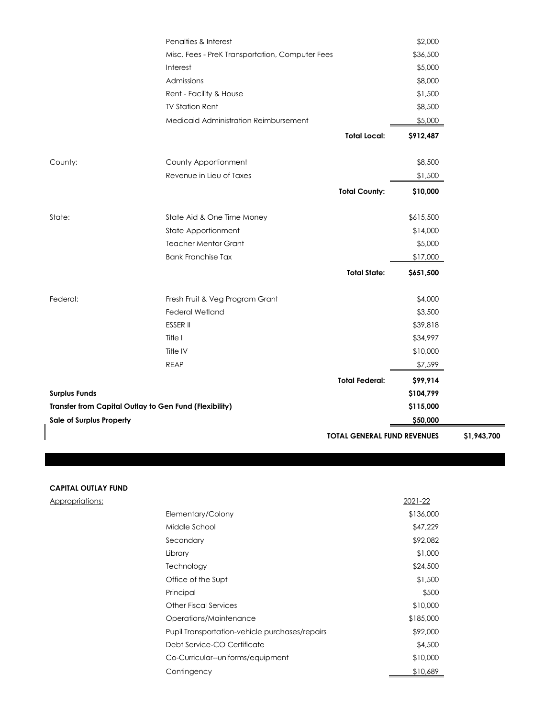|                                                        | Penalties & Interest                            |                                    | \$2,000   |             |
|--------------------------------------------------------|-------------------------------------------------|------------------------------------|-----------|-------------|
|                                                        | Misc. Fees - PreK Transportation, Computer Fees |                                    | \$36,500  |             |
|                                                        | Interest                                        |                                    | \$5,000   |             |
|                                                        | Admissions                                      |                                    | \$8,000   |             |
|                                                        | Rent - Facility & House                         |                                    | \$1,500   |             |
|                                                        | <b>TV Station Rent</b>                          |                                    | \$8,500   |             |
|                                                        | Medicaid Administration Reimbursement           |                                    | \$5,000   |             |
|                                                        |                                                 | <b>Total Local:</b>                | \$912,487 |             |
| County:                                                | County Apportionment                            |                                    | \$8,500   |             |
|                                                        | Revenue in Lieu of Taxes                        |                                    | \$1,500   |             |
|                                                        |                                                 | <b>Total County:</b>               | \$10,000  |             |
| State:                                                 | State Aid & One Time Money                      |                                    | \$615,500 |             |
|                                                        | State Apportionment                             |                                    | \$14,000  |             |
|                                                        | <b>Teacher Mentor Grant</b>                     |                                    | \$5,000   |             |
|                                                        | <b>Bank Franchise Tax</b>                       |                                    | \$17,000  |             |
|                                                        |                                                 | <b>Total State:</b>                | \$651,500 |             |
| Federal:                                               | Fresh Fruit & Veg Program Grant                 |                                    | \$4,000   |             |
|                                                        | Federal Wetland                                 |                                    | \$3,500   |             |
|                                                        | ESSER II                                        |                                    | \$39,818  |             |
|                                                        | Title I                                         |                                    | \$34,997  |             |
|                                                        | Title IV                                        |                                    | \$10,000  |             |
|                                                        | <b>REAP</b>                                     |                                    | \$7,599   |             |
|                                                        |                                                 | <b>Total Federal:</b>              | \$99,914  |             |
| <b>Surplus Funds</b>                                   |                                                 |                                    | \$104,799 |             |
| Transfer from Capital Outlay to Gen Fund (Flexibility) |                                                 |                                    | \$115,000 |             |
| <b>Sale of Surplus Property</b>                        |                                                 |                                    | \$50,000  |             |
|                                                        |                                                 | <b>TOTAL GENERAL FUND REVENUES</b> |           | \$1,943,700 |

#### **CAPITAL OUTLAY FUND**

Appropriations:

|                                                | 2021-22   |
|------------------------------------------------|-----------|
| Elementary/Colony                              | \$136,000 |
| Middle School                                  | \$47,229  |
| Secondary                                      | \$92,082  |
| Library                                        | \$1,000   |
| Technology                                     | \$24,500  |
| Office of the Supt                             | \$1,500   |
| Principal                                      | \$500     |
| Other Fiscal Services                          | \$10,000  |
| Operations/Maintenance                         | \$185,000 |
| Pupil Transportation-vehicle purchases/repairs | \$92,000  |
| Debt Service-CO Certificate                    | \$4,500   |
| Co-Curricular--uniforms/equipment              | \$10,000  |
| Contingency                                    | \$10,689  |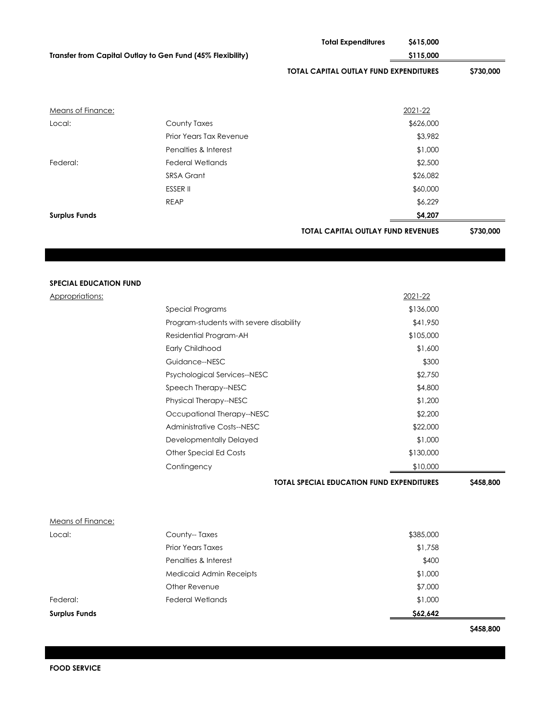|                                                            |                                          | <b>Total Expenditures</b>                        | \$615,000            |           |
|------------------------------------------------------------|------------------------------------------|--------------------------------------------------|----------------------|-----------|
| Transfer from Capital Outlay to Gen Fund (45% Flexibility) |                                          |                                                  | \$115,000            |           |
|                                                            |                                          | TOTAL CAPITAL OUTLAY FUND EXPENDITURES           |                      | \$730,000 |
|                                                            |                                          |                                                  |                      |           |
| <b>Means of Finance:</b><br>Local:                         | County Taxes                             |                                                  | 2021-22<br>\$626,000 |           |
|                                                            | Prior Years Tax Revenue                  |                                                  | \$3,982              |           |
|                                                            | Penalties & Interest                     |                                                  | \$1,000              |           |
| Federal:                                                   | <b>Federal Wetlands</b>                  |                                                  | \$2,500              |           |
|                                                            | SRSA Grant                               |                                                  | \$26,082             |           |
|                                                            | <b>ESSER II</b>                          |                                                  | \$60,000             |           |
|                                                            | <b>REAP</b>                              |                                                  | \$6,229              |           |
| <b>Surplus Funds</b>                                       |                                          |                                                  | \$4,207              |           |
|                                                            |                                          | <b>TOTAL CAPITAL OUTLAY FUND REVENUES</b>        |                      | \$730,000 |
|                                                            |                                          |                                                  |                      |           |
|                                                            |                                          |                                                  |                      |           |
|                                                            |                                          |                                                  |                      |           |
| <b>SPECIAL EDUCATION FUND</b>                              |                                          |                                                  |                      |           |
| Appropriations:                                            |                                          |                                                  | 2021-22              |           |
|                                                            | Special Programs                         |                                                  | \$136,000            |           |
|                                                            | Program-students with severe disability  |                                                  | \$41,950             |           |
|                                                            | Residential Program-AH                   |                                                  | \$105,000            |           |
|                                                            | Early Childhood                          |                                                  | \$1,600              |           |
|                                                            | Guidance--NESC                           |                                                  | \$300                |           |
|                                                            | Psychological Services--NESC             |                                                  | \$2,750              |           |
|                                                            | Speech Therapy--NESC                     |                                                  | \$4,800              |           |
|                                                            | Physical Therapy--NESC                   |                                                  | \$1,200              |           |
|                                                            | Occupational Therapy--NESC               |                                                  | \$2,200              |           |
|                                                            | Administrative Costs--NESC               |                                                  | \$22,000             |           |
|                                                            | Developmentally Delayed                  |                                                  | \$1,000              |           |
|                                                            | Other Special Ed Costs                   |                                                  | \$130,000            |           |
|                                                            | Contingency                              |                                                  | \$10,000             |           |
|                                                            |                                          | <b>TOTAL SPECIAL EDUCATION FUND EXPENDITURES</b> |                      | \$458,800 |
|                                                            |                                          |                                                  |                      |           |
| Means of Finance:                                          |                                          |                                                  |                      |           |
| Local:                                                     | County--Taxes                            |                                                  | \$385,000            |           |
|                                                            | Prior Years Taxes                        |                                                  | \$1,758              |           |
|                                                            | Penalties & Interest                     |                                                  | \$400                |           |
|                                                            | Medicaid Admin Receipts<br>Other Revenue |                                                  | \$1,000              |           |
| Federal:                                                   | <b>Federal Wetlands</b>                  |                                                  | \$7,000<br>\$1,000   |           |
|                                                            |                                          |                                                  |                      |           |
| <b>Surplus Funds</b>                                       |                                          |                                                  | \$62,642             |           |
|                                                            |                                          |                                                  |                      | \$458,800 |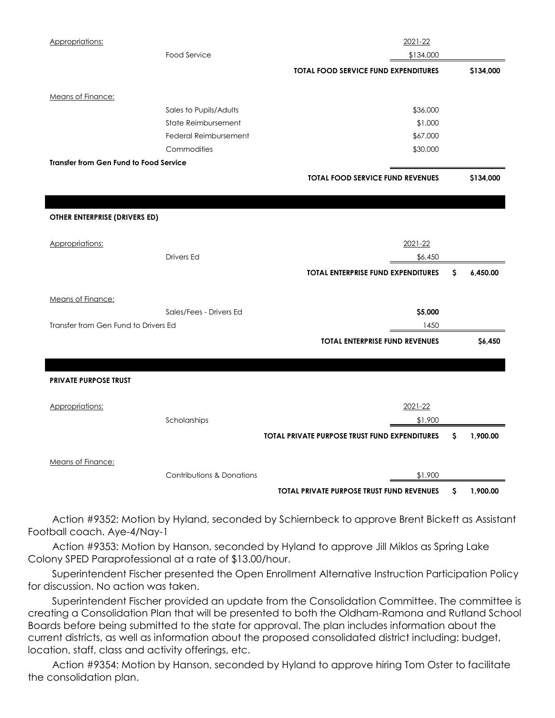| Appropriations:                               |                                      | 2021-22                                              |    |           |
|-----------------------------------------------|--------------------------------------|------------------------------------------------------|----|-----------|
|                                               | Food Service                         | \$134,000                                            |    |           |
|                                               |                                      | <b>TOTAL FOOD SERVICE FUND EXPENDITURES</b>          |    | \$134,000 |
| Means of Finance:                             |                                      |                                                      |    |           |
|                                               | Sales to Pupils/Adults               | \$36,000                                             |    |           |
|                                               | State Reimbursement                  | \$1,000                                              |    |           |
|                                               | Federal Reimbursement                | \$67,000                                             |    |           |
|                                               | Commodities                          | \$30,000                                             |    |           |
| <b>Transfer from Gen Fund to Food Service</b> |                                      |                                                      |    |           |
|                                               |                                      | <b>TOTAL FOOD SERVICE FUND REVENUES</b>              |    | \$134,000 |
|                                               |                                      |                                                      |    |           |
| OTHER ENTERPRISE (DRIVERS ED)                 |                                      |                                                      |    |           |
| Appropriations:                               |                                      | 2021-22                                              |    |           |
|                                               | Drivers Ed                           | \$6,450                                              |    |           |
|                                               |                                      | <b>TOTAL ENTERPRISE FUND EXPENDITURES</b>            | S. | 6,450.00  |
| Means of Finance:                             |                                      |                                                      |    |           |
|                                               | Sales/Fees - Drivers Ed              | \$5,000                                              |    |           |
| Transfer from Gen Fund to Drivers Ed          |                                      | 1450                                                 |    |           |
|                                               |                                      | <b>TOTAL ENTERPRISE FUND REVENUES</b>                |    | \$6,450   |
|                                               |                                      |                                                      |    |           |
| <b>PRIVATE PURPOSE TRUST</b>                  |                                      |                                                      |    |           |
| Appropriations:                               |                                      | 2021-22                                              |    |           |
|                                               | Scholarships                         | \$1,900                                              |    |           |
|                                               |                                      | <b>TOTAL PRIVATE PURPOSE TRUST FUND EXPENDITURES</b> | S. | 1,900.00  |
|                                               |                                      |                                                      |    |           |
| <b>Means of Finance:</b>                      |                                      |                                                      |    |           |
|                                               | <b>Contributions &amp; Donations</b> | \$1,900                                              |    |           |
|                                               |                                      | <b>TOTAL PRIVATE PURPOSE TRUST FUND REVENUES</b>     | \$ | 1,900.00  |

 Action #9352: Motion by Hyland, seconded by Schiernbeck to approve Brent Bickett as Assistant Football coach. Aye-4/Nay-1

 Action #9353: Motion by Hanson, seconded by Hyland to approve Jill Miklos as Spring Lake Colony SPED Paraprofessional at a rate of \$13.00/hour.

 Superintendent Fischer presented the Open Enrollment Alternative Instruction Participation Policy for discussion. No action was taken.

 Superintendent Fischer provided an update from the Consolidation Committee. The committee is creating a Consolidation Plan that will be presented to both the Oldham-Ramona and Rutland School Boards before being submitted to the state for approval. The plan includes information about the current districts, as well as information about the proposed consolidated district including: budget, location, staff, class and activity offerings, etc.

 Action #9354: Motion by Hanson, seconded by Hyland to approve hiring Tom Oster to facilitate the consolidation plan.